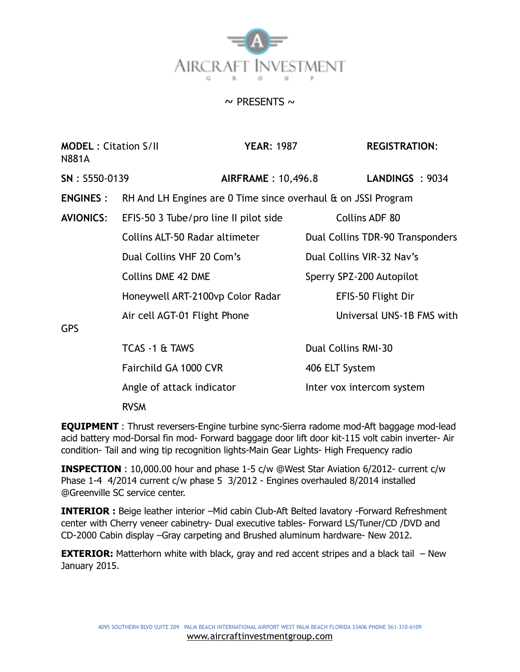

## $\sim$  PRESENTS  $\sim$

| <b>MODEL</b> : Citation S/II<br><b>N881A</b> | <b>YEAR: 1987</b>                                                    | <b>REGISTRATION:</b>             |
|----------------------------------------------|----------------------------------------------------------------------|----------------------------------|
| SN: S550-0139                                | <b>AIRFRAME: 10,496.8</b>                                            | LANDINGS : 9034                  |
| <b>ENGINES:</b>                              | RH And LH Engines are 0 Time since overhaul $\theta$ on JSSI Program |                                  |
| <b>AVIONICS:</b>                             | EFIS-50 3 Tube/pro line II pilot side                                | <b>Collins ADF 80</b>            |
|                                              | Collins ALT-50 Radar altimeter                                       | Dual Collins TDR-90 Transponders |
|                                              | Dual Collins VHF 20 Com's                                            | Dual Collins VIR-32 Nav's        |
|                                              | <b>Collins DME 42 DME</b>                                            | Sperry SPZ-200 Autopilot         |
|                                              | Honeywell ART-2100vp Color Radar                                     | EFIS-50 Flight Dir               |
|                                              | Air cell AGT-01 Flight Phone                                         | Universal UNS-1B FMS with        |
| <b>GPS</b>                                   |                                                                      |                                  |
|                                              | TCAS -1 & TAWS                                                       | <b>Dual Collins RMI-30</b>       |
|                                              | Fairchild GA 1000 CVR                                                | 406 ELT System                   |
|                                              | Angle of attack indicator                                            | Inter vox intercom system        |
|                                              | <b>RVSM</b>                                                          |                                  |

**EQUIPMENT** : Thrust reversers-Engine turbine sync-Sierra radome mod-Aft baggage mod-lead acid battery mod-Dorsal fin mod- Forward baggage door lift door kit-115 volt cabin inverter- Air condition- Tail and wing tip recognition lights-Main Gear Lights- High Frequency radio

**INSPECTION** : 10,000.00 hour and phase 1-5 c/w @West Star Aviation 6/2012- current c/w Phase 1-4 4/2014 current c/w phase 5 3/2012 - Engines overhauled 8/2014 installed @Greenville SC service center.

**INTERIOR :** Beige leather interior –Mid cabin Club-Aft Belted lavatory -Forward Refreshment center with Cherry veneer cabinetry- Dual executive tables- Forward LS/Tuner/CD /DVD and CD-2000 Cabin display –Gray carpeting and Brushed aluminum hardware- New 2012.

**EXTERIOR:** Matterhorn white with black, gray and red accent stripes and a black tail – New January 2015.